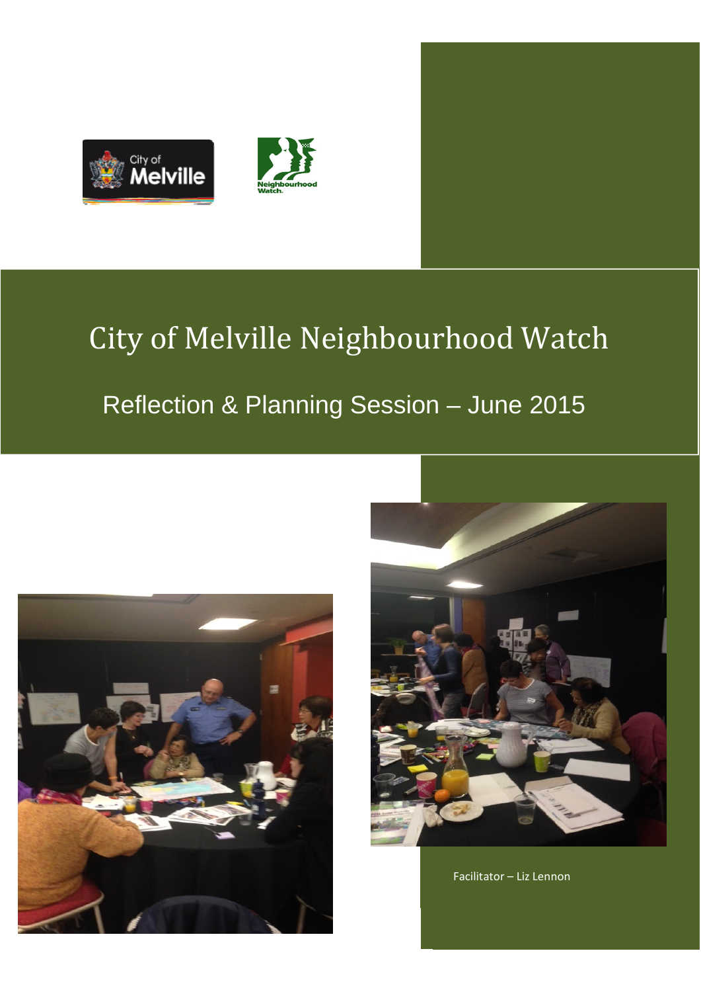



# City of Melville Neighbourhood Watch

## Reflection & Planning Session – June 2015





Facilitator – Liz Lennon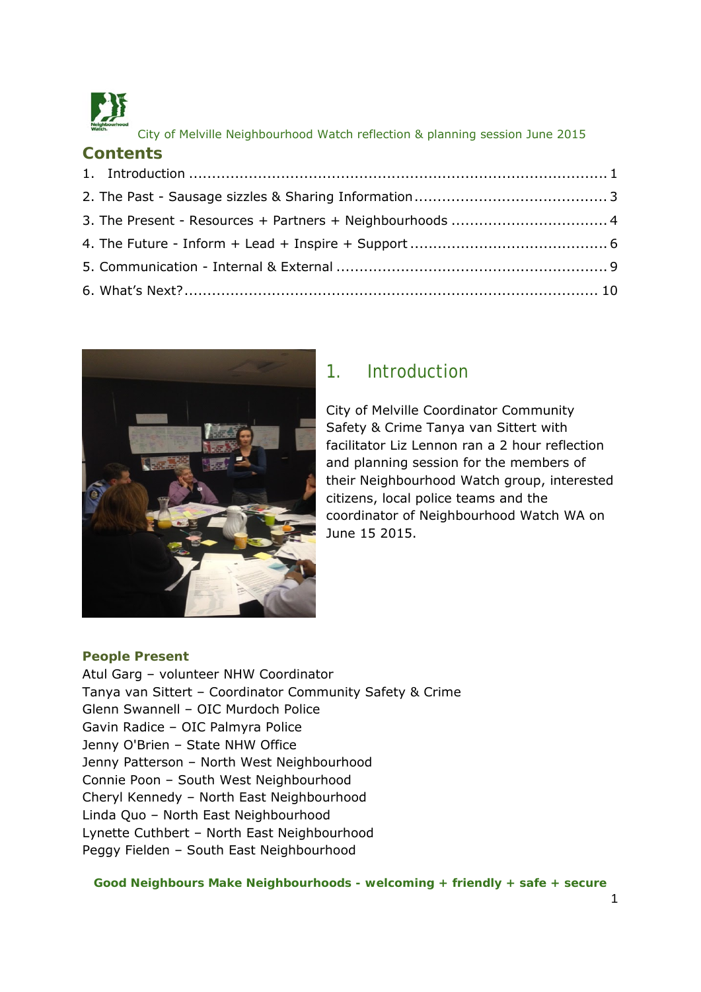

**Contents** 

City of Melville Neighbourhood Watch reflection & planning session June 2015

| Contents |  |
|----------|--|
|          |  |
|          |  |
|          |  |
|          |  |
|          |  |
|          |  |



## 1. Introduction

City of Melville Coordinator Community Safety & Crime Tanya van Sittert with facilitator Liz Lennon ran a 2 hour reflection and planning session for the members of their Neighbourhood Watch group, interested citizens, local police teams and the coordinator of Neighbourhood Watch WA on June 15 2015.

#### **People Present**

Atul Garg – volunteer NHW Coordinator Tanya van Sittert – Coordinator Community Safety & Crime Glenn Swannell – OIC Murdoch Police Gavin Radice – OIC Palmyra Police Jenny O'Brien – State NHW Office Jenny Patterson – North West Neighbourhood Connie Poon – South West Neighbourhood Cheryl Kennedy – North East Neighbourhood Linda Quo – North East Neighbourhood Lynette Cuthbert – North East Neighbourhood Peggy Fielden – South East Neighbourhood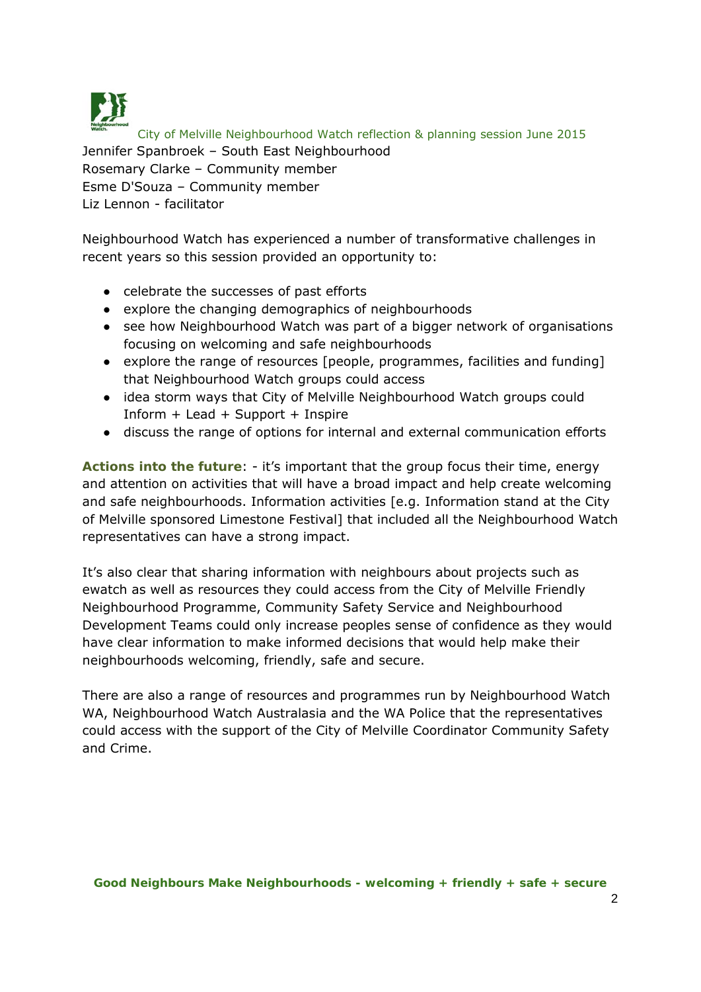

City of Melville Neighbourhood Watch reflection & planning session June 2015 Jennifer Spanbroek – South East Neighbourhood Rosemary Clarke – Community member Esme D'Souza – Community member Liz Lennon - facilitator

Neighbourhood Watch has experienced a number of transformative challenges in recent years so this session provided an opportunity to:

- celebrate the successes of past efforts
- explore the changing demographics of neighbourhoods
- see how Neighbourhood Watch was part of a bigger network of organisations focusing on welcoming and safe neighbourhoods
- explore the range of resources [people, programmes, facilities and funding] that Neighbourhood Watch groups could access
- idea storm ways that City of Melville Neighbourhood Watch groups could Inform + Lead + Support + Inspire
- discuss the range of options for internal and external communication efforts

**Actions into the future**: - it's important that the group focus their time, energy and attention on activities that will have a broad impact and help create welcoming and safe neighbourhoods. Information activities [e.g. Information stand at the City of Melville sponsored Limestone Festival] that included all the Neighbourhood Watch representatives can have a strong impact.

It's also clear that sharing information with neighbours about projects such as ewatch as well as resources they could access from the City of Melville Friendly Neighbourhood Programme, Community Safety Service and Neighbourhood Development Teams could only increase peoples sense of confidence as they would have clear information to make informed decisions that would help make their neighbourhoods welcoming, friendly, safe and secure.

There are also a range of resources and programmes run by Neighbourhood Watch WA, Neighbourhood Watch Australasia and the WA Police that the representatives could access with the support of the City of Melville Coordinator Community Safety and Crime.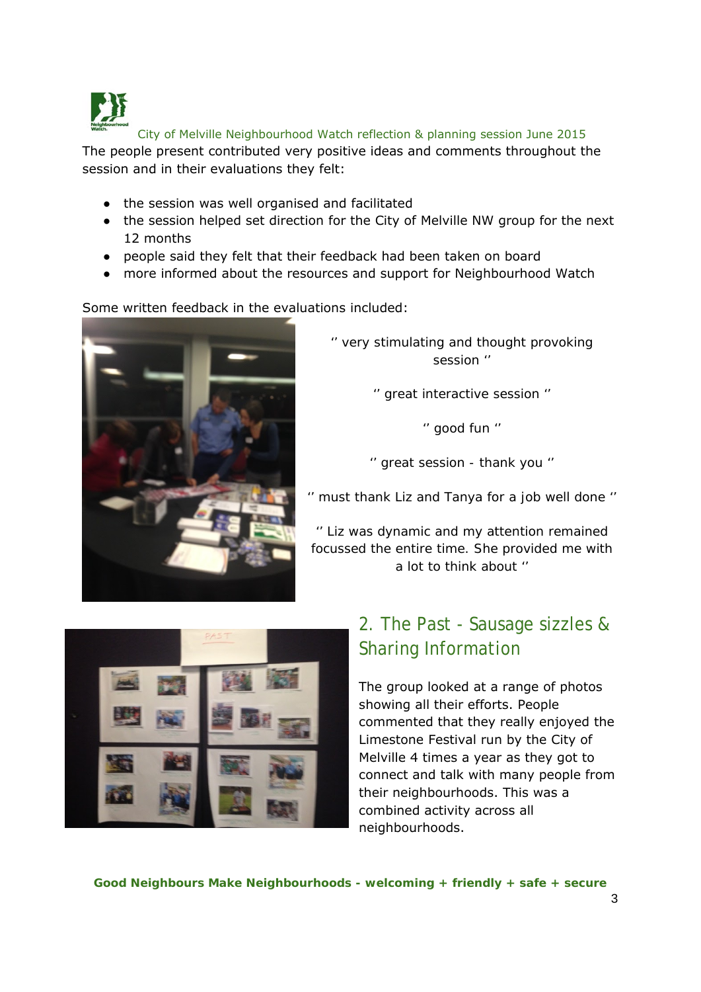

The people present contributed very positive ideas and comments throughout the session and in their evaluations they felt:

- the session was well organised and facilitated
- the session helped set direction for the City of Melville NW group for the next 12 months
- people said they felt that their feedback had been taken on board
- more informed about the resources and support for Neighbourhood Watch

Some written feedback in the evaluations included:



*'' very stimulating and thought provoking session ''* 

*'' great interactive session ''* 

*'' good fun ''* 

*'' great session - thank you ''* 

*'' must thank Liz and Tanya for a job well done ''* 

*'' Liz was dynamic and my attention remained focussed the entire time. She provided me with a lot to think about ''*



## 2. The Past - Sausage sizzles & Sharing Information

The group looked at a range of photos showing all their efforts. People commented that they really enjoyed the Limestone Festival run by the City of Melville 4 times a year as they got to connect and talk with many people from their neighbourhoods. This was a combined activity across all neighbourhoods.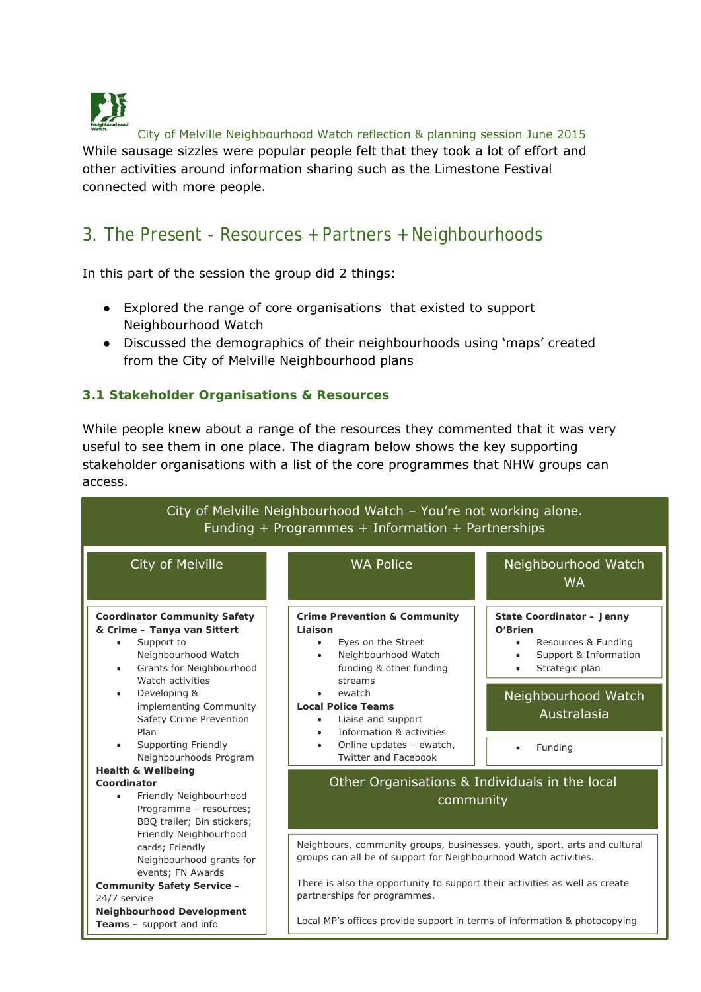

While sausage sizzles were popular people felt that they took a lot of effort and other activities around information sharing such as the Limestone Festival connected with more people.

## 3. The Present - Resources + Partners + Neighbourhoods

In this part of the session the group did 2 things:

- Explored the range of core organisations that existed to support Neighbourhood Watch
- Discussed the demographics of their neighbourhoods using 'maps' created from the City of Melville Neighbourhood plans

#### **3.1 Stakeholder Organisations & Resources**

While people knew about a range of the resources they commented that it was very useful to see them in one place. The diagram below shows the key supporting stakeholder organisations with a list of the core programmes that NHW groups can access.

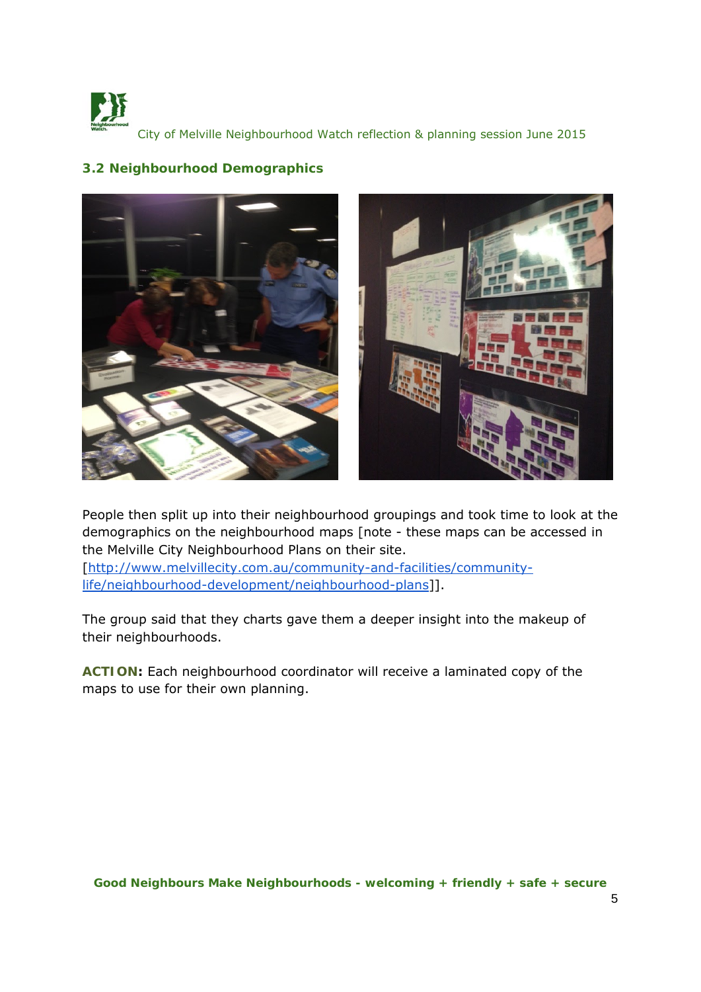



#### **3.2 Neighbourhood Demographics**

People then split up into their neighbourhood groupings and took time to look at the demographics on the neighbourhood maps [note - these maps can be accessed in the Melville City Neighbourhood Plans on their site.

[http://www.melvillecity.com.au/community-and-facilities/communitylife/neighbourhood-development/neighbourhood-plans]].

The group said that they charts gave them a deeper insight into the makeup of their neighbourhoods.

**ACTION:** Each neighbourhood coordinator will receive a laminated copy of the maps to use for their own planning.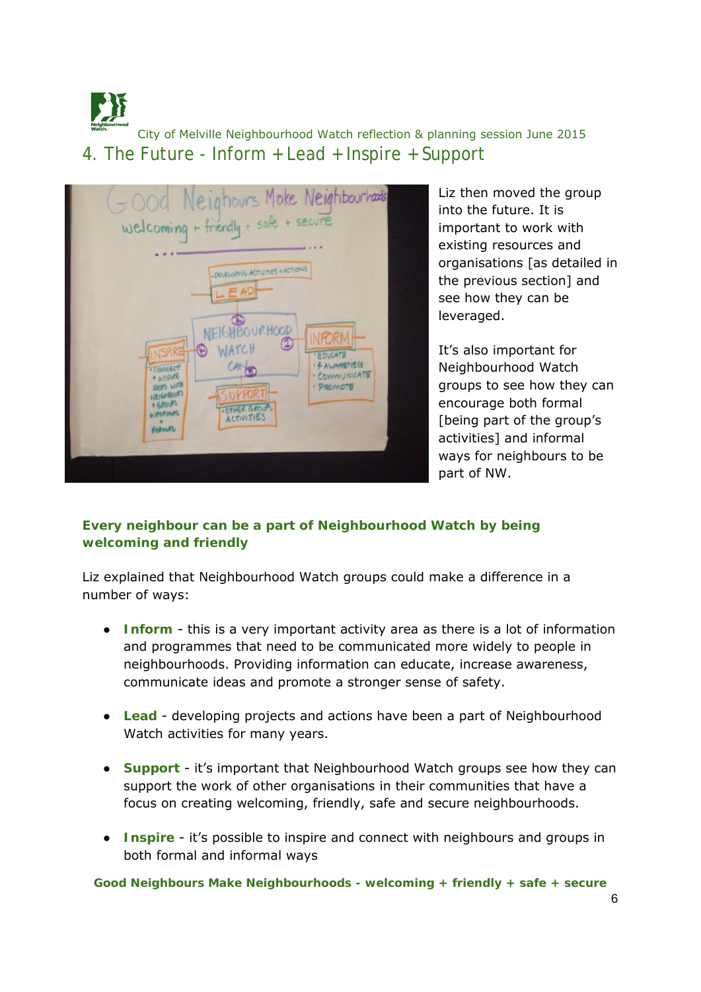City of Melville Neighbourhood Watch reflection & planning session June 2015 4. The Future - Inform + Lead + Inspire + Support



Liz then moved the group into the future. It is important to work with existing resources and organisations [as detailed in the previous section] and see how they can be leveraged.

It's also important for Neighbourhood Watch groups to see how they can encourage both formal [being part of the group's activities] and informal ways for neighbours to be part of NW.

#### *Every neighbour can be a part of Neighbourhood Watch by being welcoming and friendly*

Liz explained that Neighbourhood Watch groups could make a difference in a number of ways:

- **Inform** this is a very important activity area as there is a lot of information and programmes that need to be communicated more widely to people in neighbourhoods. Providing information can educate, increase awareness, communicate ideas and promote a stronger sense of safety.
- **Lead** developing projects and actions have been a part of Neighbourhood Watch activities for many years.
- **Support** it's important that Neighbourhood Watch groups see how they can support the work of other organisations in their communities that have a focus on creating welcoming, friendly, safe and secure neighbourhoods.
- **Inspire** it's possible to inspire and connect with neighbours and groups in both formal and informal ways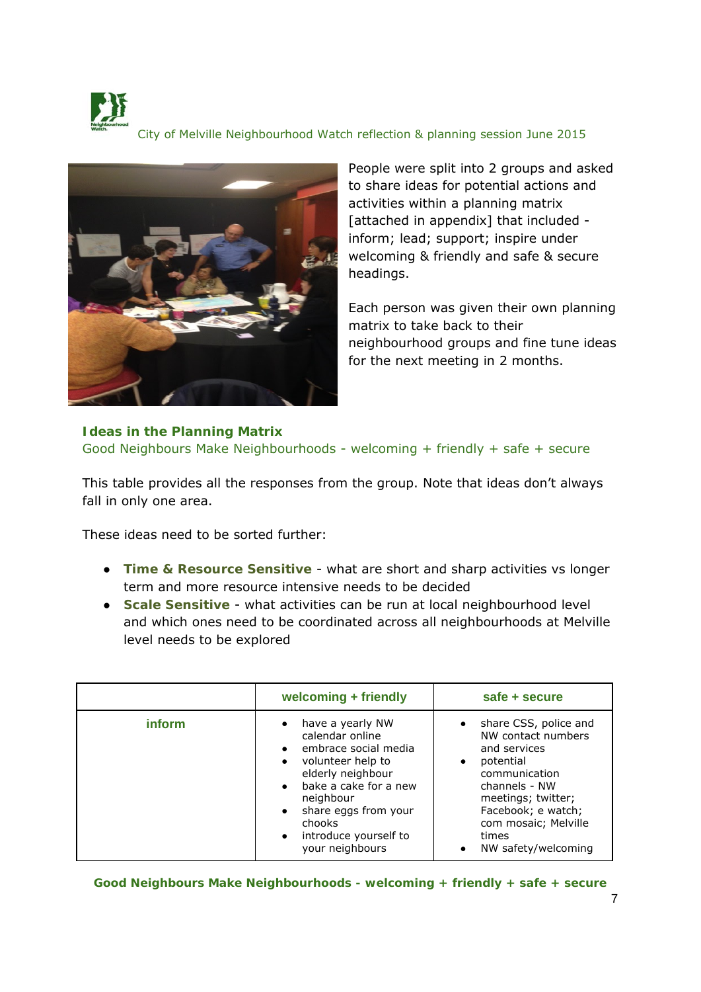



People were split into 2 groups and asked to share ideas for potential actions and activities within a planning matrix [attached in appendix] that included inform; lead; support; inspire under welcoming & friendly and safe & secure headings.

Each person was given their own planning matrix to take back to their neighbourhood groups and fine tune ideas for the next meeting in 2 months.

#### **Ideas in the Planning Matrix** Good Neighbours Make Neighbourhoods - welcoming + friendly + safe + secure

This table provides all the responses from the group. Note that ideas don't always fall in only one area.

These ideas need to be sorted further:

- **Time & Resource Sensitive** what are short and sharp activities vs longer term and more resource intensive needs to be decided
- **Scale Sensitive** what activities can be run at local neighbourhood level and which ones need to be coordinated across all neighbourhoods at Melville level needs to be explored

|               | welcoming + friendly                                                                                                                                                                                                                   | safe + secure                                                                                                                                                                                                                            |
|---------------|----------------------------------------------------------------------------------------------------------------------------------------------------------------------------------------------------------------------------------------|------------------------------------------------------------------------------------------------------------------------------------------------------------------------------------------------------------------------------------------|
| <i>inform</i> | have a yearly NW<br>calendar online<br>embrace social media<br>volunteer help to<br>$\bullet$<br>elderly neighbour<br>bake a cake for a new<br>neighbour<br>share eggs from your<br>chooks<br>introduce yourself to<br>your neighbours | share CSS, police and<br>$\bullet$<br>NW contact numbers<br>and services<br>potential<br>$\bullet$<br>communication<br>channels - NW<br>meetings; twitter;<br>Facebook; e watch;<br>com mosaic; Melville<br>times<br>NW safety/welcoming |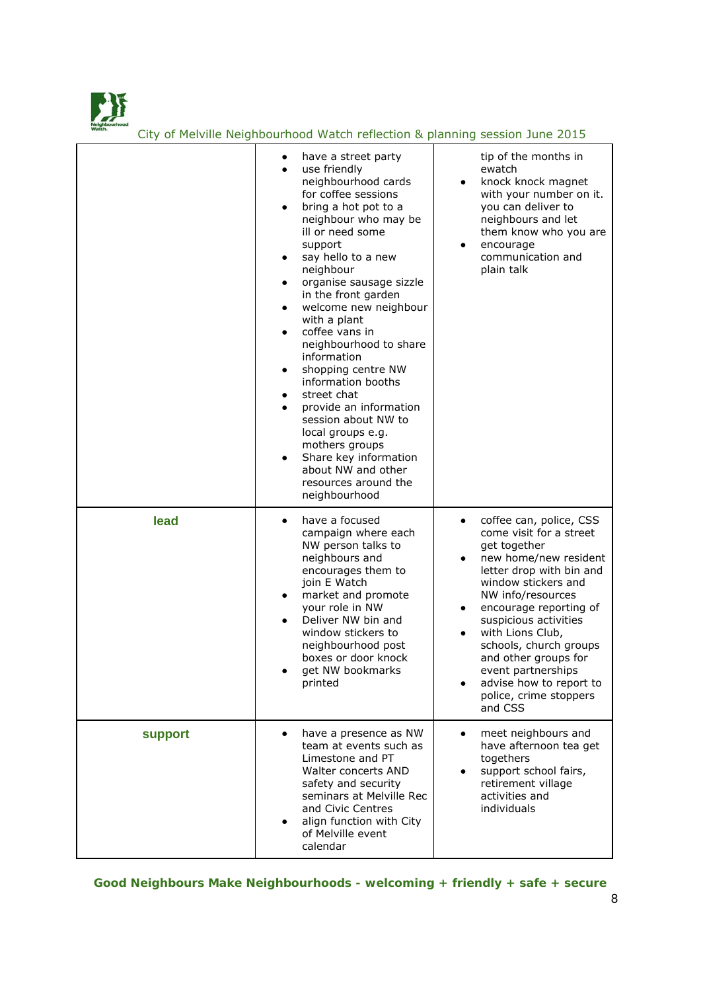

|         | have a street party<br>٠<br>use friendly<br>$\bullet$<br>neighbourhood cards<br>for coffee sessions<br>bring a hot pot to a<br>$\bullet$<br>neighbour who may be<br>ill or need some<br>support<br>say hello to a new<br>$\bullet$<br>neighbour<br>organise sausage sizzle<br>٠<br>in the front garden<br>welcome new neighbour<br>$\bullet$<br>with a plant<br>coffee vans in<br>$\bullet$<br>neighbourhood to share<br>information<br>shopping centre NW<br>$\bullet$<br>information booths<br>street chat<br>$\bullet$<br>provide an information<br>$\bullet$<br>session about NW to<br>local groups e.g.<br>mothers groups<br>Share key information<br>$\bullet$<br>about NW and other<br>resources around the<br>neighbourhood | tip of the months in<br>ewatch<br>knock knock magnet<br>$\bullet$<br>with your number on it.<br>you can deliver to<br>neighbours and let<br>them know who you are<br>encourage<br>$\bullet$<br>communication and<br>plain talk                                                                                                                                                                                         |
|---------|-------------------------------------------------------------------------------------------------------------------------------------------------------------------------------------------------------------------------------------------------------------------------------------------------------------------------------------------------------------------------------------------------------------------------------------------------------------------------------------------------------------------------------------------------------------------------------------------------------------------------------------------------------------------------------------------------------------------------------------|------------------------------------------------------------------------------------------------------------------------------------------------------------------------------------------------------------------------------------------------------------------------------------------------------------------------------------------------------------------------------------------------------------------------|
| lead    | have a focused<br>$\bullet$<br>campaign where each<br>NW person talks to<br>neighbours and<br>encourages them to<br>join E Watch<br>market and promote<br>$\bullet$<br>your role in NW<br>Deliver NW bin and<br>$\bullet$<br>window stickers to<br>neighbourhood post<br>boxes or door knock<br>get NW bookmarks<br>printed                                                                                                                                                                                                                                                                                                                                                                                                         | coffee can, police, CSS<br>$\bullet$<br>come visit for a street<br>get together<br>new home/new resident<br>٠<br>letter drop with bin and<br>window stickers and<br>NW info/resources<br>encourage reporting of<br>٠<br>suspicious activities<br>with Lions Club,<br>$\bullet$<br>schools, church groups<br>and other groups for<br>event partnerships<br>advise how to report to<br>police, crime stoppers<br>and CSS |
| support | have a presence as NW<br>$\bullet$<br>team at events such as<br>Limestone and PT<br>Walter concerts AND<br>safety and security<br>seminars at Melville Rec<br>and Civic Centres<br>align function with City<br>of Melville event<br>calendar                                                                                                                                                                                                                                                                                                                                                                                                                                                                                        | meet neighbours and<br>$\bullet$<br>have afternoon tea get<br>togethers<br>support school fairs,<br>retirement village<br>activities and<br>individuals                                                                                                                                                                                                                                                                |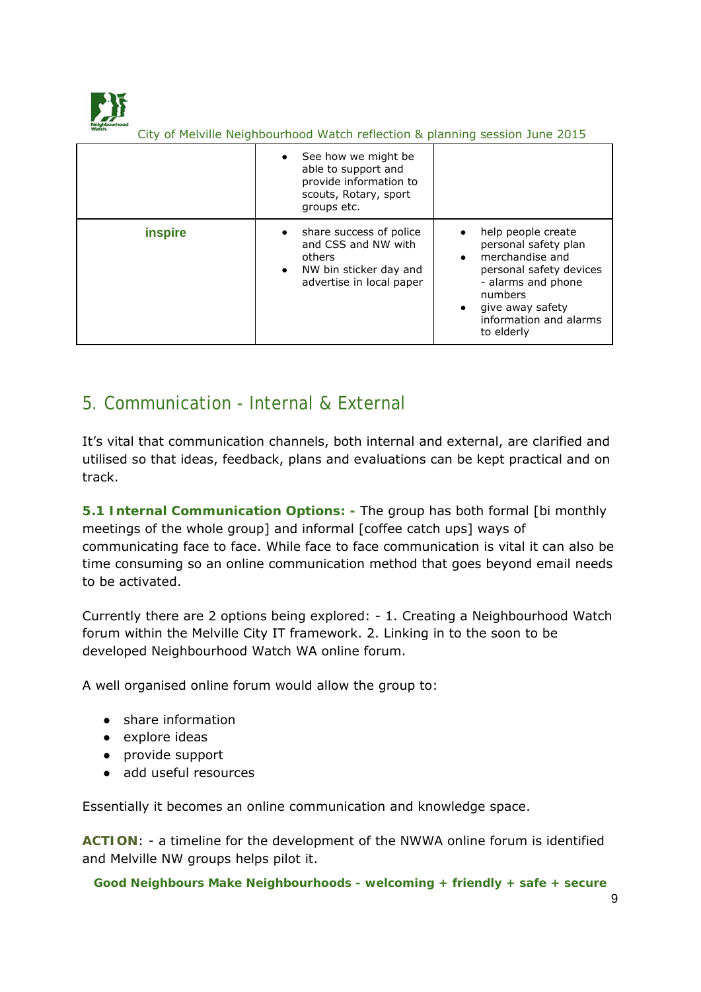

|                | See how we might be<br>able to support and<br>provide information to<br>scouts, Rotary, sport<br>groups etc.   |                                                                                                                                                                                                    |
|----------------|----------------------------------------------------------------------------------------------------------------|----------------------------------------------------------------------------------------------------------------------------------------------------------------------------------------------------|
| <b>inspire</b> | share success of police<br>and CSS and NW with<br>others<br>NW bin sticker day and<br>advertise in local paper | help people create<br>personal safety plan<br>merchandise and<br>$\bullet$<br>personal safety devices<br>- alarms and phone<br>numbers<br>give away safety<br>information and alarms<br>to elderly |

## 5. Communication - Internal & External

It's vital that communication channels, both internal and external, are clarified and utilised so that ideas, feedback, plans and evaluations can be kept practical and on track.

**5.1 Internal Communication Options: -** The group has both formal [bi monthly meetings of the whole group] and informal [coffee catch ups] ways of communicating face to face. While face to face communication is vital it can also be time consuming so an online communication method that goes beyond email needs to be activated.

Currently there are 2 options being explored: - 1. Creating a Neighbourhood Watch forum within the Melville City IT framework. 2. Linking in to the soon to be developed Neighbourhood Watch WA online forum.

A well organised online forum would allow the group to:

- share information
- explore ideas
- provide support
- add useful resources

Essentially it becomes an online communication and knowledge space.

**ACTION**: - a timeline for the development of the NWWA online forum is identified and Melville NW groups helps pilot it.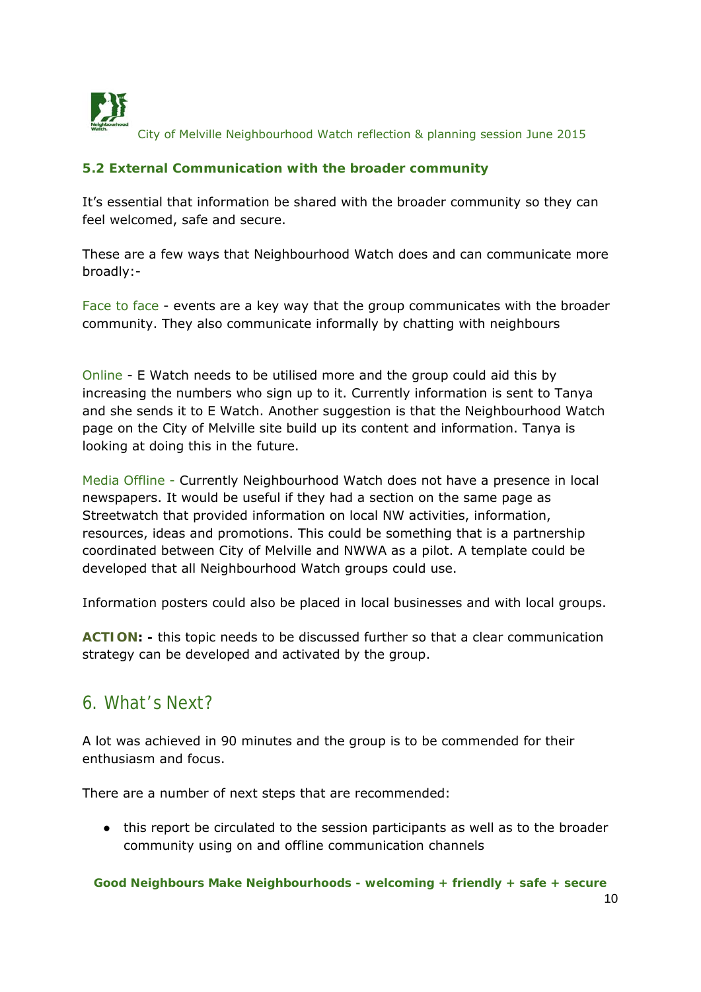

#### **5.2 External Communication with the broader community**

It's essential that information be shared with the broader community so they can feel welcomed, safe and secure.

These are a few ways that Neighbourhood Watch does and can communicate more broadly:-

Face to face - events are a key way that the group communicates with the broader community. They also communicate informally by chatting with neighbours

Online - E Watch needs to be utilised more and the group could aid this by increasing the numbers who sign up to it. Currently information is sent to Tanya and she sends it to E Watch. Another suggestion is that the Neighbourhood Watch page on the City of Melville site build up its content and information. Tanya is looking at doing this in the future.

Media Offline - Currently Neighbourhood Watch does not have a presence in local newspapers. It would be useful if they had a section on the same page as Streetwatch that provided information on local NW activities, information, resources, ideas and promotions. This could be something that is a partnership coordinated between City of Melville and NWWA as a pilot. A template could be developed that all Neighbourhood Watch groups could use.

Information posters could also be placed in local businesses and with local groups.

**ACTION: -** this topic needs to be discussed further so that a clear communication strategy can be developed and activated by the group.

### 6. What's Next?

A lot was achieved in 90 minutes and the group is to be commended for their enthusiasm and focus.

There are a number of next steps that are recommended:

● this report be circulated to the session participants as well as to the broader community using on and offline communication channels